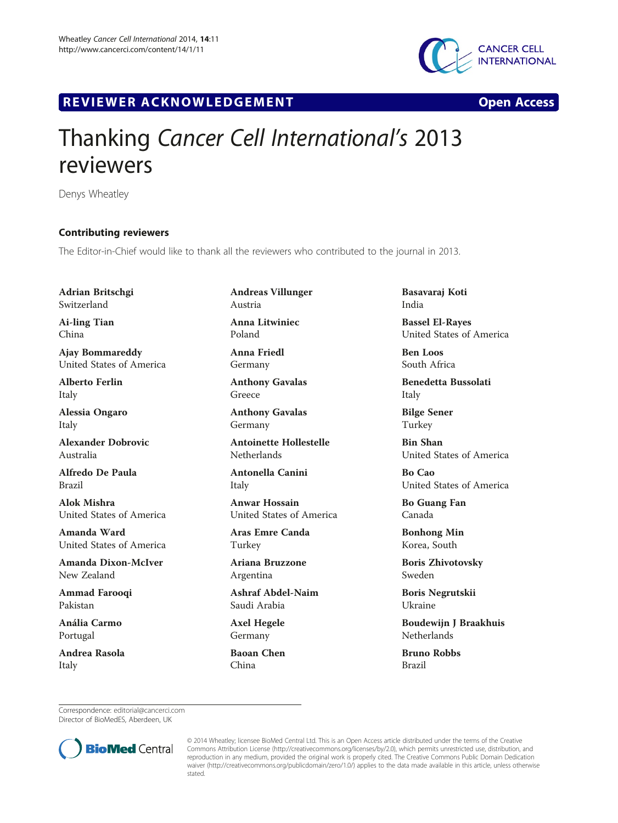

## R EVI EW E R ACKNOW L EDG EM EN T Open Access

## Thanking Cancer Cell International's 2013 reviewers

Denys Wheatley

## Contributing reviewers

The Editor-in-Chief would like to thank all the reviewers who contributed to the journal in 2013.

Adrian Britschgi Switzerland

Ai-ling Tian China

Ajay Bommareddy United States of America

Alberto Ferlin Italy

Alessia Ongaro Italy

Alexander Dobrovic Australia

Alfredo De Paula Brazil

Alok Mishra United States of America

Amanda Ward United States of America

Amanda Dixon-McIver New Zealand

Ammad Farooqi Pakistan

Anália Carmo Portugal

Andrea Rasola Italy

Andreas Villunger Austria Anna Litwiniec

Poland Anna Friedl

Germany

Anthony Gavalas Greece

Anthony Gavalas Germany

Antoinette Hollestelle Netherlands

Antonella Canini Italy

Anwar Hossain United States of America

Aras Emre Canda Turkey

Ariana Bruzzone Argentina

Ashraf Abdel-Naim Saudi Arabia

Axel Hegele Germany

Baoan Chen China

Basavaraj Koti India

Bassel El-Rayes United States of America

Ben Loos South Africa

Benedetta Bussolati Italy

Bilge Sener Turkey

Bin Shan United States of America

Bo Cao United States of America

Bo Guang Fan Canada

Bonhong Min Korea, South

Boris Zhivotovsky Sweden

Boris Negrutskii Ukraine

Boudewijn J Braakhuis Netherlands

Bruno Robbs Brazil

Correspondence: [editorial@cancerci.com](mailto:editorial@cancerci.com) Director of BioMedES, Aberdeen, UK



© 2014 Wheatley; licensee BioMed Central Ltd. This is an Open Access article distributed under the terms of the Creative Commons Attribution License [\(http://creativecommons.org/licenses/by/2.0\)](http://creativecommons.org/licenses/by/2.0), which permits unrestricted use, distribution, and reproduction in any medium, provided the original work is properly cited. The Creative Commons Public Domain Dedication waiver [\(http://creativecommons.org/publicdomain/zero/1.0/\)](http://creativecommons.org/publicdomain/zero/1.0/) applies to the data made available in this article, unless otherwise stated.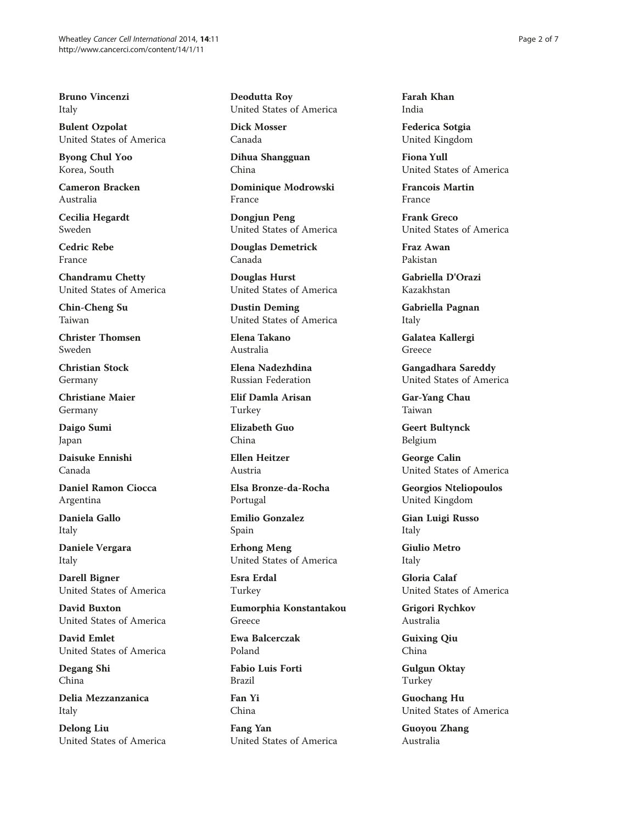Bruno Vincenzi Italy

Bulent Ozpolat United States of America

Byong Chul Yoo Korea, South

Cameron Bracken Australia

Cecilia Hegardt Sweden

Cedric Rebe France

Chandramu Chetty United States of America

Chin-Cheng Su Taiwan

Christer Thomsen Sweden

Christian Stock Germany

Christiane Maier Germany

Daigo Sumi Japan

Daisuke Ennishi Canada

Daniel Ramon Ciocca Argentina

Daniela Gallo Italy

Daniele Vergara Italy

Darell Bigner United States of America

David Buxton United States of America

David Emlet United States of America

Degang Shi China

Delia Mezzanzanica Italy

Delong Liu United States of America Deodutta Roy United States of America

Dick Mosser Canada

Dihua Shangguan China

Dominique Modrowski France

Dongjun Peng United States of America

Douglas Demetrick Canada

Douglas Hurst United States of America

Dustin Deming United States of America

Elena Takano Australia

Elena Nadezhdina Russian Federation

Elif Damla Arisan Turkey

Elizabeth Guo China

Ellen Heitzer Austria

Elsa Bronze-da-Rocha Portugal

Emilio Gonzalez Spain

Erhong Meng United States of America

Esra Erdal Turkey

Eumorphia Konstantakou Greece

Ewa Balcerczak Poland

Fabio Luis Forti Brazil

Fan Yi China

Fang Yan United States of America Farah Khan India

Federica Sotgia United Kingdom

Fiona Yull United States of America

Francois Martin France

Frank Greco United States of America

Fraz Awan Pakistan

Gabriella D'Orazi Kazakhstan

Gabriella Pagnan Italy

Galatea Kallergi Greece

Gangadhara Sareddy United States of America

Gar-Yang Chau Taiwan

Geert Bultynck Belgium

George Calin United States of America

Georgios Nteliopoulos United Kingdom

Gian Luigi Russo Italy

Giulio Metro Italy

Gloria Calaf United States of America

Grigori Rychkov Australia

Guixing Qiu China

Gulgun Oktay Turkey

Guochang Hu United States of America

Guoyou Zhang Australia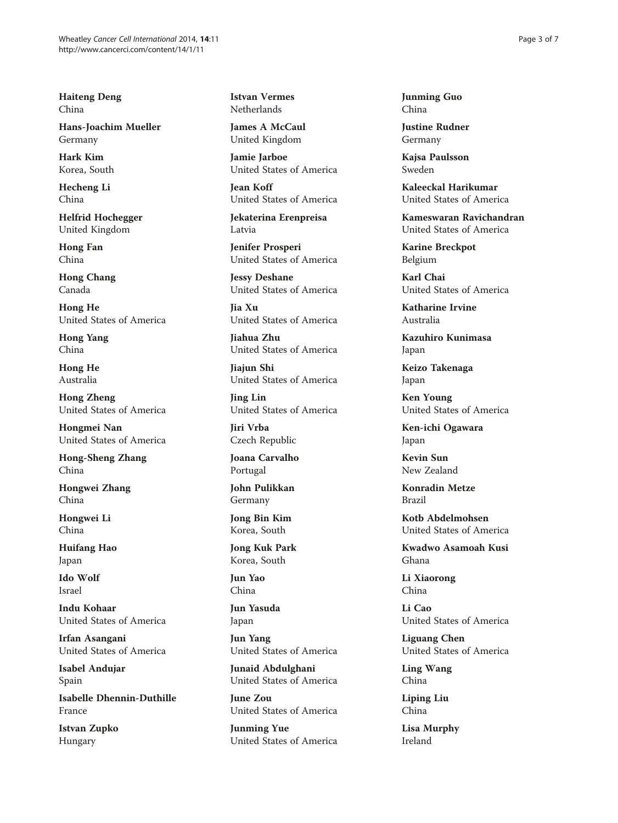Haiteng Deng China

Hans-Joachim Mueller Germany

Hark Kim Korea, South

Hecheng Li China

Helfrid Hochegger United Kingdom

Hong Fan China

Hong Chang Canada

Hong He United States of America

Hong Yang China

Hong He Australia

Hong Zheng United States of America

Hongmei Nan United States of America

Hong-Sheng Zhang China

Hongwei Zhang China

Hongwei Li China

Huifang Hao Japan

Ido Wolf Israel

Indu Kohaar United States of America

Irfan Asangani United States of America

Isabel Andujar Spain

Isabelle Dhennin-Duthille France

Istvan Zupko Hungary

Istvan Vermes Netherlands

James A McCaul United Kingdom

Jamie Jarboe United States of America

Jean Koff United States of America

Jekaterina Erenpreisa Latvia

Jenifer Prosperi United States of America

Jessy Deshane United States of America

Jia Xu United States of America

Jiahua Zhu United States of America

Jiajun Shi United States of America

Jing Lin United States of America

Jiri Vrba Czech Republic

Joana Carvalho Portugal

John Pulikkan Germany

Jong Bin Kim Korea, South

Jong Kuk Park Korea, South

Jun Yao China

Jun Yasuda Japan

Jun Yang United States of America

Junaid Abdulghani United States of America

June Zou United States of America

Junming Yue United States of America Junming Guo China

Justine Rudner Germany

Kajsa Paulsson Sweden

Kaleeckal Harikumar United States of America

Kameswaran Ravichandran United States of America

Karine Breckpot Belgium

Karl Chai United States of America

Katharine Irvine Australia

Kazuhiro Kunimasa Japan

Keizo Takenaga Japan

Ken Young United States of America

Ken-ichi Ogawara Japan

Kevin Sun New Zealand

Konradin Metze Brazil

Kotb Abdelmohsen United States of America

Kwadwo Asamoah Kusi Ghana

Li Xiaorong China

Li Cao United States of America

Liguang Chen United States of America

Ling Wang China

Liping Liu China

Lisa Murphy Ireland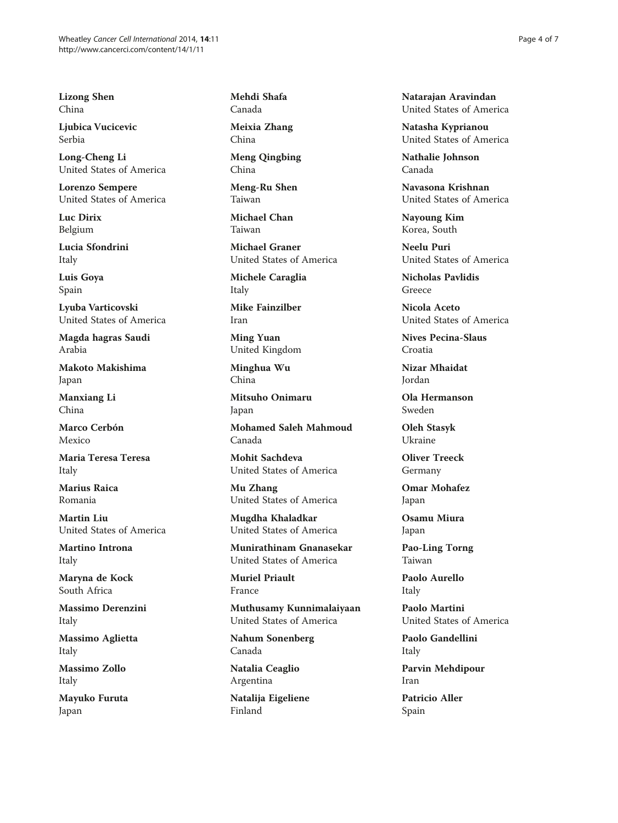Lizong Shen China

Ljubica Vucicevic Serbia

Long-Cheng Li United States of America

Lorenzo Sempere United States of America

Luc Dirix Belgium

Lucia Sfondrini Italy

Luis Goya Spain

Lyuba Varticovski United States of America

Magda hagras Saudi Arabia

Makoto Makishima Japan

Manxiang Li China

Marco Cerbón Mexico

Maria Teresa Teresa Italy

Marius Raica Romania

Martin Liu United States of America

Martino Introna Italy

Maryna de Kock South Africa

Massimo Derenzini Italy

Massimo Aglietta Italy

Massimo Zollo Italy

Mayuko Furuta Japan

Mehdi Shafa Canada

Meixia Zhang China

Meng Qingbing China

Meng-Ru Shen Taiwan

Michael Chan Taiwan

Michael Graner United States of America

Michele Caraglia Italy

Mike Fainzilber Iran

Ming Yuan United Kingdom

Minghua Wu China

Mitsuho Onimaru Japan

Mohamed Saleh Mahmoud Canada

Mohit Sachdeva United States of America

Mu Zhang United States of America

Mugdha Khaladkar United States of America

Munirathinam Gnanasekar United States of America

Muriel Priault France

Muthusamy Kunnimalaiyaan United States of America

Nahum Sonenberg Canada

Natalia Ceaglio Argentina

Natalija Eigeliene Finland

Natarajan Aravindan United States of America

Natasha Kyprianou United States of America

Nathalie Johnson Canada

Navasona Krishnan United States of America

Nayoung Kim Korea, South

Neelu Puri United States of America

Nicholas Pavlidis Greece

Nicola Aceto United States of America

Nives Pecina-Slaus Croatia

Nizar Mhaidat Jordan

Ola Hermanson Sweden

Oleh Stasyk Ukraine

Oliver Treeck Germany

Omar Mohafez Japan

Osamu Miura Japan

Pao-Ling Torng Taiwan

Paolo Aurello Italy

Paolo Martini United States of America

Paolo Gandellini Italy

Parvin Mehdipour Iran

Patricio Aller Spain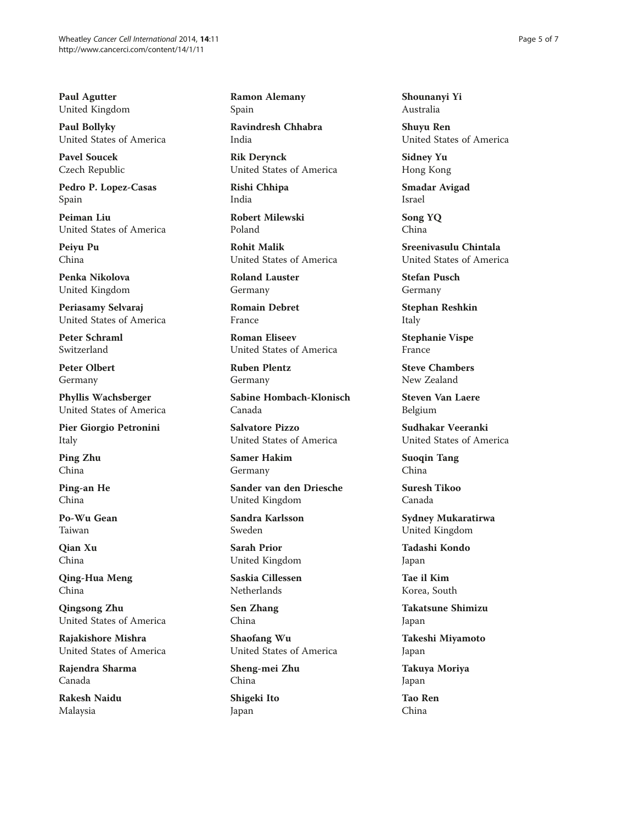Paul Agutter United Kingdom

Paul Bollyky United States of America

Pavel Soucek Czech Republic

Pedro P. Lopez-Casas Spain

Peiman Liu United States of America

Peiyu Pu China

Penka Nikolova United Kingdom

Periasamy Selvaraj United States of America

Peter Schraml Switzerland

Peter Olbert Germany

Phyllis Wachsberger United States of America

Pier Giorgio Petronini Italy

Ping Zhu China

Ping-an He China

Po-Wu Gean Taiwan

Qian Xu China

Qing-Hua Meng China

Qingsong Zhu United States of America

Rajakishore Mishra United States of America

Rajendra Sharma Canada

Rakesh Naidu Malaysia

Ramon Alemany Spain

Ravindresh Chhabra India

Rik Derynck United States of America

Rishi Chhipa India

Robert Milewski Poland

Rohit Malik United States of America

Roland Lauster Germany

Romain Debret France

Roman Eliseev United States of America

Ruben Plentz Germany

Sabine Hombach-Klonisch Canada

Salvatore Pizzo United States of America

Samer Hakim Germany

Sander van den Driesche United Kingdom

Sandra Karlsson Sweden

Sarah Prior United Kingdom

Saskia Cillessen **Netherlands** 

Sen Zhang China

Shaofang Wu United States of America

Sheng-mei Zhu China

Shigeki Ito Japan

Shounanyi Yi Australia

Shuyu Ren United States of America

Sidney Yu Hong Kong

Smadar Avigad Israel

Song YQ China

Sreenivasulu Chintala United States of America

Stefan Pusch Germany

Stephan Reshkin Italy

Stephanie Vispe France

Steve Chambers New Zealand

Steven Van Laere Belgium

Sudhakar Veeranki United States of America

Suoqin Tang China

Suresh Tikoo Canada

Sydney Mukaratirwa United Kingdom

Tadashi Kondo Japan

Tae il Kim Korea, South

Takatsune Shimizu Japan

Takeshi Miyamoto Japan

Takuya Moriya Japan

Tao Ren China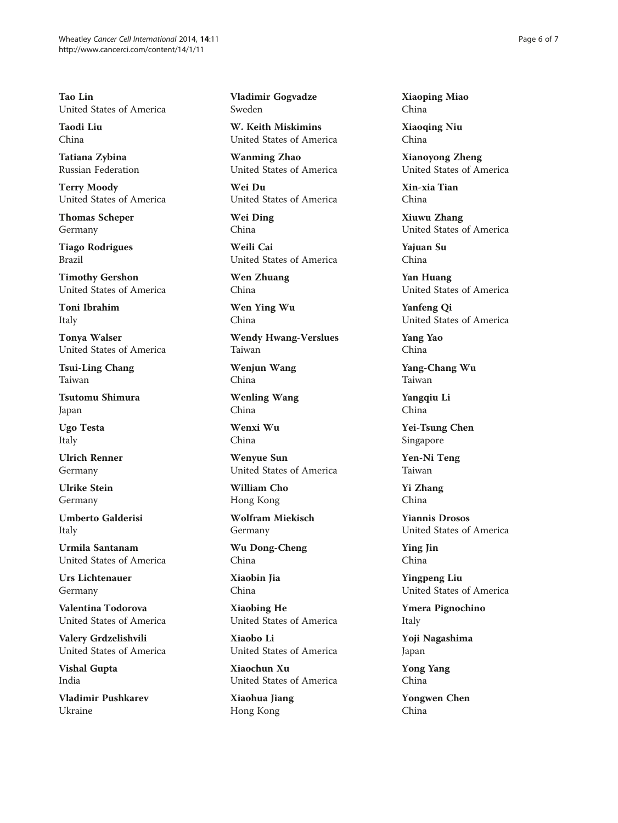Tao Lin United States of America

Taodi Liu China

Tatiana Zybina Russian Federation

Terry Moody United States of America

Thomas Scheper Germany

Tiago Rodrigues Brazil

Timothy Gershon United States of America

Toni Ibrahim Italy

Tonya Walser United States of America

Tsui-Ling Chang Taiwan

Tsutomu Shimura Japan

Ugo Testa Italy

Ulrich Renner Germany

Ulrike Stein Germany

Umberto Galderisi Italy

Urmila Santanam United States of America

Urs Lichtenauer Germany

Valentina Todorova United States of America

Valery Grdzelishvili United States of America

Vishal Gupta India

Vladimir Pushkarev Ukraine

Vladimir Gogvadze Sweden

W. Keith Miskimins United States of America

Wanming Zhao United States of America

Wei Du United States of America

Wei Ding China

Weili Cai United States of America

Wen Zhuang China

Wen Ying Wu China

Wendy Hwang-Verslues Taiwan

Wenjun Wang China

Wenling Wang China

Wenxi Wu China

Wenyue Sun United States of America

William Cho Hong Kong

Wolfram Miekisch Germany

Wu Dong-Cheng China

Xiaobin Jia China

Xiaobing He United States of America

Xiaobo Li United States of America

Xiaochun Xu United States of America

Xiaohua Jiang Hong Kong

Xiaoping Miao China

Xiaoqing Niu China

Xianoyong Zheng United States of America

Xin-xia Tian China

Xiuwu Zhang United States of America

Yajuan Su China

Yan Huang United States of America

Yanfeng Qi United States of America

Yang Yao China

Yang-Chang Wu Taiwan

Yangqiu Li China

Yei-Tsung Chen Singapore

Yen-Ni Teng Taiwan

Yi Zhang China

Yiannis Drosos United States of America

Ying Jin China

Yingpeng Liu United States of America

Ymera Pignochino Italy

Yoji Nagashima Japan

Yong Yang China

Yongwen Chen China